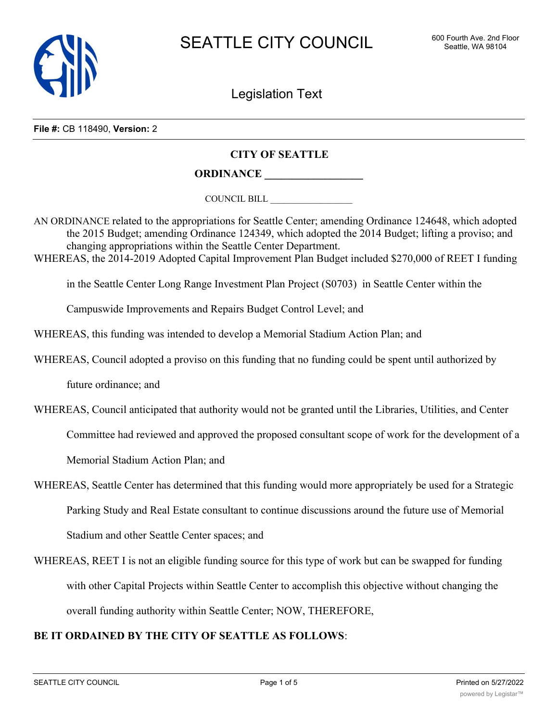

Legislation Text

**File #:** CB 118490, **Version:** 2

### **CITY OF SEATTLE**

# **ORDINANCE \_\_\_\_\_\_\_\_\_\_\_\_\_\_\_\_\_\_**

COUNCIL BILL \_\_\_\_\_\_\_\_\_\_\_\_\_\_\_\_\_\_

AN ORDINANCE related to the appropriations for Seattle Center; amending Ordinance 124648, which adopted the 2015 Budget; amending Ordinance 124349, which adopted the 2014 Budget; lifting a proviso; and changing appropriations within the Seattle Center Department.

WHEREAS, the 2014-2019 Adopted Capital Improvement Plan Budget included \$270,000 of REET I funding

in the Seattle Center Long Range Investment Plan Project (S0703) in Seattle Center within the

Campuswide Improvements and Repairs Budget Control Level; and

WHEREAS, this funding was intended to develop a Memorial Stadium Action Plan; and

WHEREAS, Council adopted a proviso on this funding that no funding could be spent until authorized by

future ordinance; and

WHEREAS, Council anticipated that authority would not be granted until the Libraries, Utilities, and Center

Committee had reviewed and approved the proposed consultant scope of work for the development of a

Memorial Stadium Action Plan; and

- WHEREAS, Seattle Center has determined that this funding would more appropriately be used for a Strategic Parking Study and Real Estate consultant to continue discussions around the future use of Memorial Stadium and other Seattle Center spaces; and
- WHEREAS, REET I is not an eligible funding source for this type of work but can be swapped for funding with other Capital Projects within Seattle Center to accomplish this objective without changing the overall funding authority within Seattle Center; NOW, THEREFORE,

### **BE IT ORDAINED BY THE CITY OF SEATTLE AS FOLLOWS**: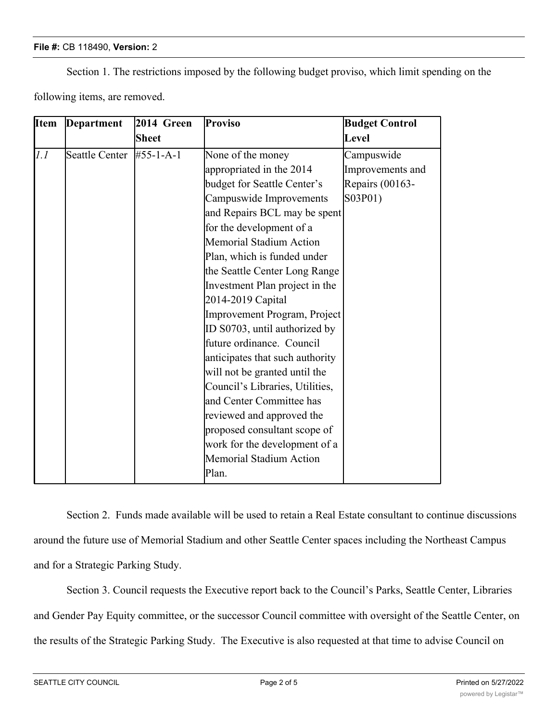#### **File #:** CB 118490, **Version:** 2

Section 1. The restrictions imposed by the following budget proviso, which limit spending on the

following items, are removed.

| <b>Item</b> | Department     | 2014 Green        | <b>Proviso</b>                  | <b>Budget Control</b> |
|-------------|----------------|-------------------|---------------------------------|-----------------------|
|             |                | <b>Sheet</b>      |                                 | Level                 |
| 1.1         | Seattle Center | $#55 - 1 - A - 1$ | None of the money               | Campuswide            |
|             |                |                   | appropriated in the 2014        | Improvements and      |
|             |                |                   | budget for Seattle Center's     | Repairs (00163-       |
|             |                |                   | Campuswide Improvements         | S03P01)               |
|             |                |                   | and Repairs BCL may be spent    |                       |
|             |                |                   | for the development of a        |                       |
|             |                |                   | <b>Memorial Stadium Action</b>  |                       |
|             |                |                   | Plan, which is funded under     |                       |
|             |                |                   | the Seattle Center Long Range   |                       |
|             |                |                   | Investment Plan project in the  |                       |
|             |                |                   | 2014-2019 Capital               |                       |
|             |                |                   | Improvement Program, Project    |                       |
|             |                |                   | ID S0703, until authorized by   |                       |
|             |                |                   | future ordinance. Council       |                       |
|             |                |                   | anticipates that such authority |                       |
|             |                |                   | will not be granted until the   |                       |
|             |                |                   | Council's Libraries, Utilities, |                       |
|             |                |                   | and Center Committee has        |                       |
|             |                |                   | reviewed and approved the       |                       |
|             |                |                   | proposed consultant scope of    |                       |
|             |                |                   | work for the development of a   |                       |
|             |                |                   | <b>Memorial Stadium Action</b>  |                       |
|             |                |                   | Plan.                           |                       |

Section 2. Funds made available will be used to retain a Real Estate consultant to continue discussions around the future use of Memorial Stadium and other Seattle Center spaces including the Northeast Campus and for a Strategic Parking Study.

Section 3. Council requests the Executive report back to the Council's Parks, Seattle Center, Libraries and Gender Pay Equity committee, or the successor Council committee with oversight of the Seattle Center, on the results of the Strategic Parking Study. The Executive is also requested at that time to advise Council on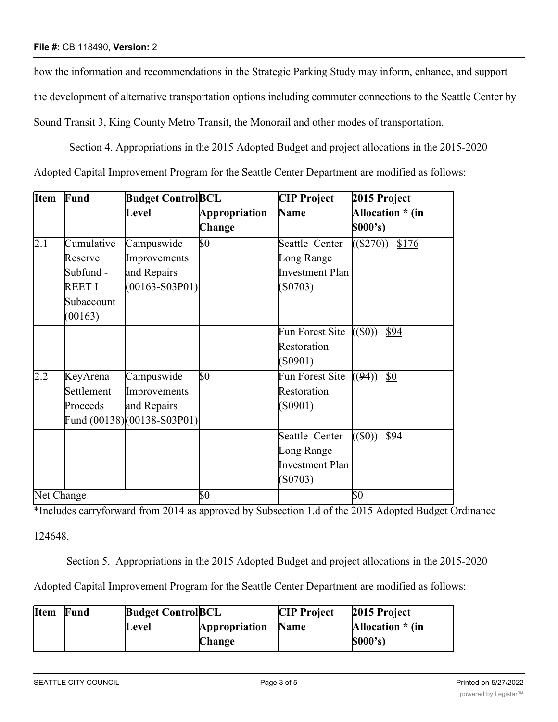#### **File #:** CB 118490, **Version:** 2

how the information and recommendations in the Strategic Parking Study may inform, enhance, and support the development of alternative transportation options including commuter connections to the Seattle Center by Sound Transit 3, King County Metro Transit, the Monorail and other modes of transportation.

 Section 4. Appropriations in the 2015 Adopted Budget and project allocations in the 2015-2020 Adopted Capital Improvement Program for the Seattle Center Department are modified as follows:

| <b>Item</b>      | Fund                                                                  | <b>Budget ControlBCL</b>                                                |                                | <b>CIP</b> Project                                         | 2015 Project                 |
|------------------|-----------------------------------------------------------------------|-------------------------------------------------------------------------|--------------------------------|------------------------------------------------------------|------------------------------|
|                  |                                                                       | Level                                                                   | <b>Appropriation</b><br>Change | Name                                                       | Allocation * (in<br>\$000's) |
| $\overline{2.1}$ | Cumulative<br>Reserve<br>Subfund -<br>REET I<br>Subaccount<br>(00163) | Campuswide<br>Improvements<br>and Repairs<br>$(00163 - S03P01)$         | \$0                            | Seattle Center<br>Long Range<br>Investment Plan<br>(S0703) | $((\$270))$<br>\$176         |
|                  |                                                                       |                                                                         |                                | Fun Forest Site<br>Restoration<br>(S0901)                  | $((\$0))$<br>\$94            |
| 2.2              | KeyArena<br>Settlement<br>Proceeds                                    | Campuswide<br>Improvements<br>and Repairs<br>Fund (00138)(00138-S03P01) | $\overline{\$0}$               | Fun Forest Site<br>Restoration<br>(S0901)                  | ((94))<br>\$0                |
|                  |                                                                       |                                                                         |                                | Seattle Center<br>Long Range<br>Investment Plan<br>(S0703) | $((\$0))$<br>\$94            |
| Net Change       |                                                                       |                                                                         | \$0                            |                                                            | \$0                          |

\*Includes carryforward from 2014 as approved by Subsection 1.d of the 2015 Adopted Budget Ordinance

124648.

Section 5. Appropriations in the 2015 Adopted Budget and project allocations in the 2015-2020

Adopted Capital Improvement Program for the Seattle Center Department are modified as follows:

| <b>Item</b> | Fund | <b>Budget Control BCL</b> |               | <b>CIP</b> Project | 2015 Project     |
|-------------|------|---------------------------|---------------|--------------------|------------------|
|             |      | Level                     | Appropriation | <b>Name</b>        | Allocation * (in |
|             |      |                           | Change        |                    | \$000's)         |

<u>Improvements</u>

<u>Long Range Range Range Range</u>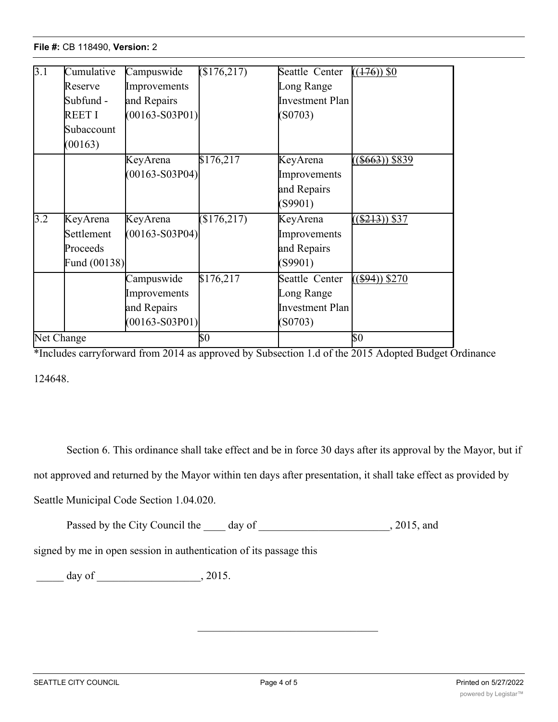# **File #: CB 118490, Version: 2**

| $\overline{3.1}$ | Cumulative<br>Reserve<br>Subfund -<br>REET I<br>Subaccount<br>(00163) | Campuswide<br>Improvements<br>and Repairs<br>$(00163 - S03P01)$ | \$176,217             | Seattle Center<br>Long Range<br>Investment Plan<br>(S0703) | $((176))$ \$0     |
|------------------|-----------------------------------------------------------------------|-----------------------------------------------------------------|-----------------------|------------------------------------------------------------|-------------------|
|                  |                                                                       | KeyArena<br>$(00163 - S03P04)$                                  | \$176,217             | KeyArena<br>Improvements<br>and Repairs<br>(S9901)         | $($ \$663)) \$839 |
| 3.2              | KeyArena<br>Settlement<br>Proceeds<br>Fund (00138)                    | KeyArena<br>$(00163 - S03P04)$                                  | $\overline{$176,217}$ | KeyArena<br>Improvements<br>and Repairs<br>(S9901)         | $($ \$213)) \$37  |
|                  |                                                                       | Campuswide<br>Improvements<br>and Repairs<br>$(00163 - S03P01)$ | \$176,217             | Seattle Center<br>Long Range<br>Investment Plan<br>(S0703) | $((\$94))$ \$270  |
| Net Change       |                                                                       |                                                                 | \$0                   |                                                            | $\sqrt{50}$       |

**Appropriation**

**Name**

**Allocation \* (in**

**\$000's)**

**Change**

\*Includes carryforward from 2014 as approved by Subsection 1.d of the 2015 Adopted Budget Ordinance 124648.

Section 6. This ordinance shall take effect and be in force 30 days after its approval by the Mayor, but if

not approved and returned by the Mayor within ten days after presentation, it shall take effect as provided by

Seattle Municipal Code Section 1.04.020.

Passed by the City Council the \_\_\_\_\_ day of \_\_\_\_\_\_\_\_\_\_\_\_\_\_\_\_\_\_\_\_\_\_\_, 2015, and

signed by me in open session in authentication of its passage this

 $\frac{1}{2015}$  day of  $\frac{1}{2015}$